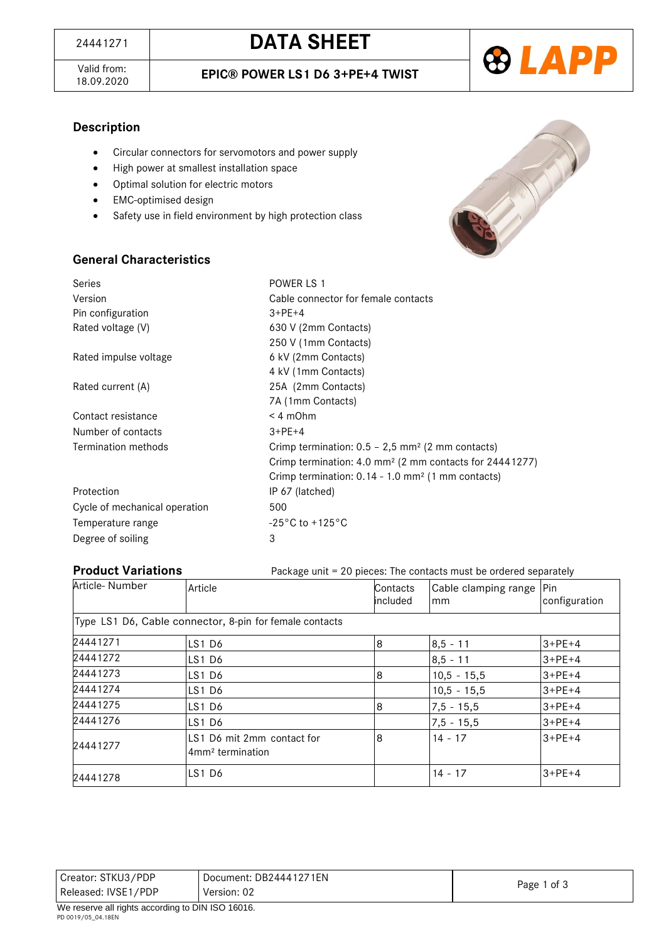Valid from:<br>18.09.2020



## **Description**

- Circular connectors for servomotors and power supply
- High power at smallest installation space
- Optimal solution for electric motors
- EMC-optimised design
- Safety use in field environment by high protection class



# **General Characteristics**

| Series                        | POWER LS 1                                                          |
|-------------------------------|---------------------------------------------------------------------|
| Version                       | Cable connector for female contacts                                 |
| Pin configuration             | $3 + PE + 4$                                                        |
| Rated voltage (V)             | 630 V (2mm Contacts)                                                |
|                               | 250 V (1mm Contacts)                                                |
| Rated impulse voltage         | 6 kV (2mm Contacts)                                                 |
|                               | 4 kV (1mm Contacts)                                                 |
| Rated current (A)             | 25A (2mm Contacts)                                                  |
|                               | 7A (1mm Contacts)                                                   |
| Contact resistance            | $< 4$ m $Ohm$                                                       |
| Number of contacts            | $3 + PE + 4$                                                        |
| Termination methods           | Crimp termination: $0.5 - 2.5$ mm <sup>2</sup> (2 mm contacts)      |
|                               | Crimp termination: 4.0 mm <sup>2</sup> (2 mm contacts for 24441277) |
|                               | Crimp termination: 0.14 - 1.0 mm <sup>2</sup> (1 mm contacts)       |
| Protection                    | IP 67 (latched)                                                     |
| Cycle of mechanical operation | 500                                                                 |
| Temperature range             | $-25^{\circ}$ C to +125 $^{\circ}$ C                                |
| Degree of soiling             | 3                                                                   |

**Product Variations** Package unit = 20 pieces: The contacts must be ordered separately

| Article-Number | Article                                                    | Contacts<br>lincluded | Cable clamping range<br>mm | Pin<br>configuration |
|----------------|------------------------------------------------------------|-----------------------|----------------------------|----------------------|
|                | Type LS1 D6, Cable connector, 8-pin for female contacts    |                       |                            |                      |
| 24441271       | LS1D6                                                      | 8                     | $8,5 - 11$                 | $3+PE+4$             |
| 24441272       | LS1D6                                                      |                       | $8.5 - 11$                 | $3 + PE + 4$         |
| 24441273       | LS1D6                                                      | 8                     | $10,5 - 15,5$              | $3 + PE + 4$         |
| 24441274       | LS1D6                                                      |                       | $10,5 - 15,5$              | $3+PE+4$             |
| 24441275       | LS1D6                                                      | 8                     | $7,5 - 15,5$               | $3 + PE + 4$         |
| 24441276       | LS1D6                                                      |                       | $7,5 - 15,5$               | $3 + PE + 4$         |
| 24441277       | LS1 D6 mit 2mm contact for<br>4mm <sup>2</sup> termination | 8                     | $14 - 17$                  | $3+PE+4$             |
| 24441278       | LS1D6                                                      |                       | $14 - 17$                  | $3+PE+4$             |

| Released: IVSE1/PDP<br>Version: 02 | Creator: STKU3/PDP | Document: DB24441271EN |             |
|------------------------------------|--------------------|------------------------|-------------|
|                                    |                    |                        | Page 1 of 3 |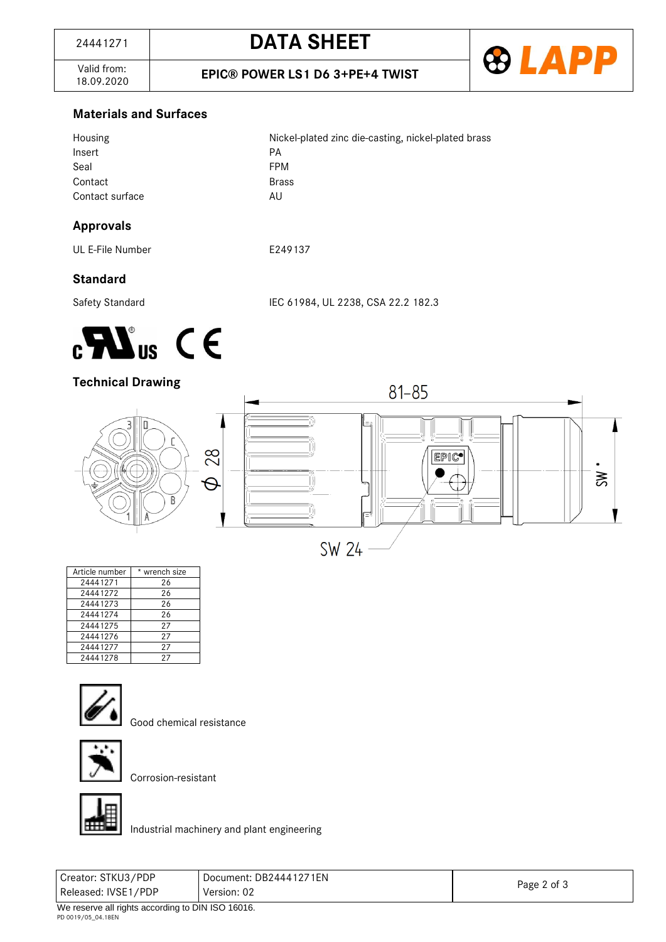Valid from:<br>18.09.2020

18.09.2020 **EPIC® POWER LS1 D6 3+PE+4 TWIST**



## **Materials and Surfaces**

| Housing         | Nickel-plated zinc die-casting, nickel-plated brass |
|-----------------|-----------------------------------------------------|
| Insert          | PА                                                  |
| Seal            | <b>FPM</b>                                          |
| Contact         | <b>Brass</b>                                        |
| Contact surface | AU                                                  |
|                 |                                                     |

## **Approvals**

UL E-File Number **E249137** 

# **Standard**

Safety Standard IEC 61984, UL 2238, CSA 22.2 182.3



## **Technical Drawing**



| Article number | * wrench size |
|----------------|---------------|
| 24441271       | 26            |
| 24441272       | 26            |
| 24441273       | 26            |
| 24441274       | 26            |
| 24441275       | 27            |
| 24441276       | 27            |
| 24441277       | 27            |
| 24441278       | 27            |



Good chemical resistance



Corrosion-resistant



Industrial machinery and plant engineering

| .<br>.              | $\sim$ $\sim$ $\sim$ $\sim$ $\sim$ $\sim$ $\sim$ |             |
|---------------------|--------------------------------------------------|-------------|
| Released: IVSE1/PDP | Version: 02                                      | Page 2 of 3 |
| Creator: STKU3/PDP  | Document: DB24441271EN                           |             |